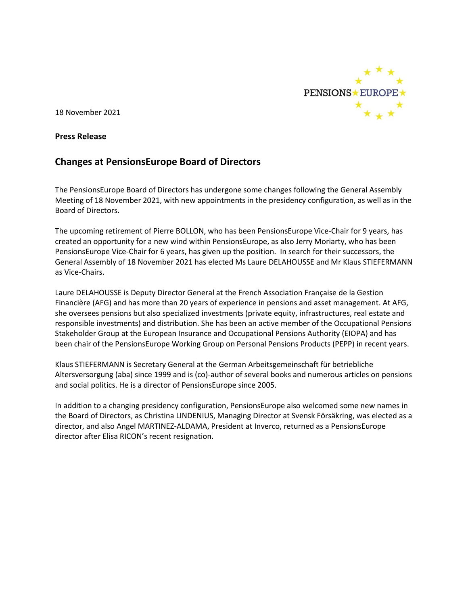

18 November 2021

## **Press Release**

# **Changes at PensionsEurope Board of Directors**

The PensionsEurope Board of Directors has undergone some changes following the General Assembly Meeting of 18 November 2021, with new appointments in the presidency configuration, as well as in the Board of Directors.

The upcoming retirement of Pierre BOLLON, who has been PensionsEurope Vice-Chair for 9 years, has created an opportunity for a new wind within PensionsEurope, as also Jerry Moriarty, who has been PensionsEurope Vice-Chair for 6 years, has given up the position. In search for their successors, the General Assembly of 18 November 2021 has elected Ms Laure DELAHOUSSE and Mr Klaus STIEFERMANN as Vice-Chairs.

Laure DELAHOUSSE is Deputy Director General at the French Association Française de la Gestion Financière (AFG) and has more than 20 years of experience in pensions and asset management. At AFG, she oversees pensions but also specialized investments (private equity, infrastructures, real estate and responsible investments) and distribution. She has been an active member of the Occupational Pensions Stakeholder Group at the European Insurance and Occupational Pensions Authority (EIOPA) and has been chair of the PensionsEurope Working Group on Personal Pensions Products (PEPP) in recent years.

Klaus STIEFERMANN is Secretary General at the German Arbeitsgemeinschaft für betriebliche Altersversorgung (aba) since 1999 and is (co)-author of several books and numerous articles on pensions and social politics. He is a director of PensionsEurope since 2005.

In addition to a changing presidency configuration, PensionsEurope also welcomed some new names in the Board of Directors, as Christina LINDENIUS, Managing Director at Svensk Försäkring, was elected as a director, and also Angel MARTINEZ-ALDAMA, President at Inverco, returned as a PensionsEurope director after Elisa RICON's recent resignation.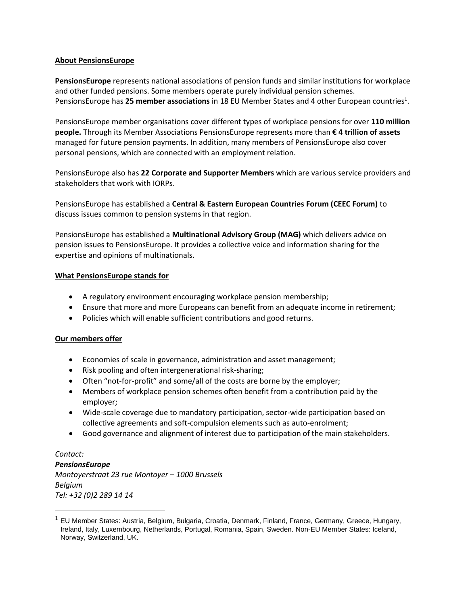## **About PensionsEurope**

**PensionsEurope** represents national associations of pension funds and similar institutions for workplace and other funded pensions. Some members operate purely individual pension schemes. PensionsEurope has 25 member associations in 18 EU Member States and 4 other European countries<sup>1</sup>.

PensionsEurope member organisations cover different types of workplace pensions for over **110 million people.** Through its Member Associations PensionsEurope represents more than **€ 4 trillion of assets** managed for future pension payments. In addition, many members of PensionsEurope also cover personal pensions, which are connected with an employment relation.

PensionsEurope also has **22 Corporate and Supporter Members** which are various service providers and stakeholders that work with IORPs.

PensionsEurope has established a **Central & Eastern European Countries Forum (CEEC Forum)** to discuss issues common to pension systems in that region.

PensionsEurope has established a **Multinational Advisory Group (MAG)** which delivers advice on pension issues to PensionsEurope. It provides a collective voice and information sharing for the expertise and opinions of multinationals.

## **What PensionsEurope stands for**

- A regulatory environment encouraging workplace pension membership;
- Ensure that more and more Europeans can benefit from an adequate income in retirement;
- Policies which will enable sufficient contributions and good returns.

## **Our members offer**

- Economies of scale in governance, administration and asset management;
- Risk pooling and often intergenerational risk-sharing;
- Often "not-for-profit" and some/all of the costs are borne by the employer;
- Members of workplace pension schemes often benefit from a contribution paid by the employer;
- Wide-scale coverage due to mandatory participation, sector-wide participation based on collective agreements and soft-compulsion elements such as auto-enrolment;
- Good governance and alignment of interest due to participation of the main stakeholders.

*Contact: PensionsEurope Montoyerstraat 23 rue Montoyer – 1000 Brussels Belgium Tel: +32 (0)2 289 14 14*

<sup>&</sup>lt;sup>1</sup> EU Member States: Austria, Belgium, Bulgaria, Croatia, Denmark, Finland, France, Germany, Greece, Hungary, Ireland, Italy, Luxembourg, Netherlands, Portugal, Romania, Spain, Sweden. Non-EU Member States: Iceland, Norway, Switzerland, UK.